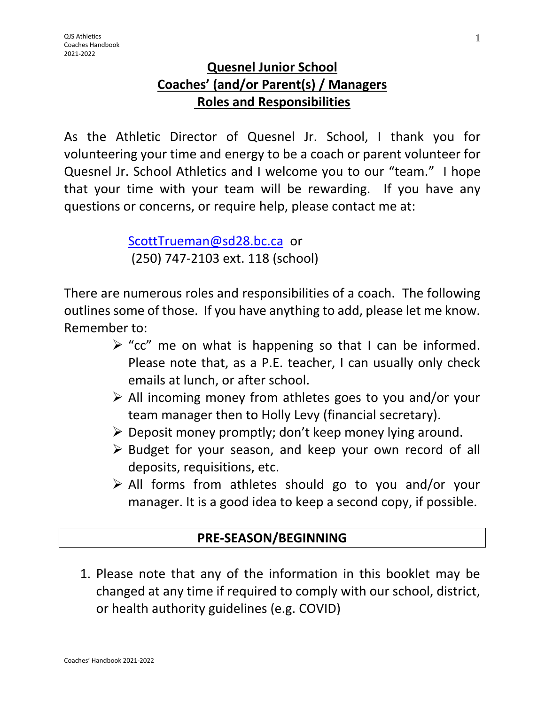## **Quesnel Junior School Coaches' (and/or Parent(s) / Managers Roles and Responsibilities**

As the Athletic Director of Quesnel Jr. School, I thank you for volunteering your time and energy to be a coach or parent volunteer for Quesnel Jr. School Athletics and I welcome you to our "team." I hope that your time with your team will be rewarding. If you have any questions or concerns, or require help, please contact me at:

> [ScottTrueman@sd28.bc.ca](mailto:ScottTrueman@sd28.bc.ca) or (250) 747-2103 ext. 118 (school)

There are numerous roles and responsibilities of a coach. The following outlines some of those. If you have anything to add, please let me know. Remember to:

- $\triangleright$  "cc" me on what is happening so that I can be informed. Please note that, as a P.E. teacher, I can usually only check emails at lunch, or after school.
- $\triangleright$  All incoming money from athletes goes to you and/or your team manager then to Holly Levy (financial secretary).
- $\triangleright$  Deposit money promptly; don't keep money lying around.
- $\triangleright$  Budget for your season, and keep your own record of all deposits, requisitions, etc.
- All forms from athletes should go to you and/or your manager. It is a good idea to keep a second copy, if possible.

# **PRE-SEASON/BEGINNING**

1. Please note that any of the information in this booklet may be changed at any time if required to comply with our school, district, or health authority guidelines (e.g. COVID)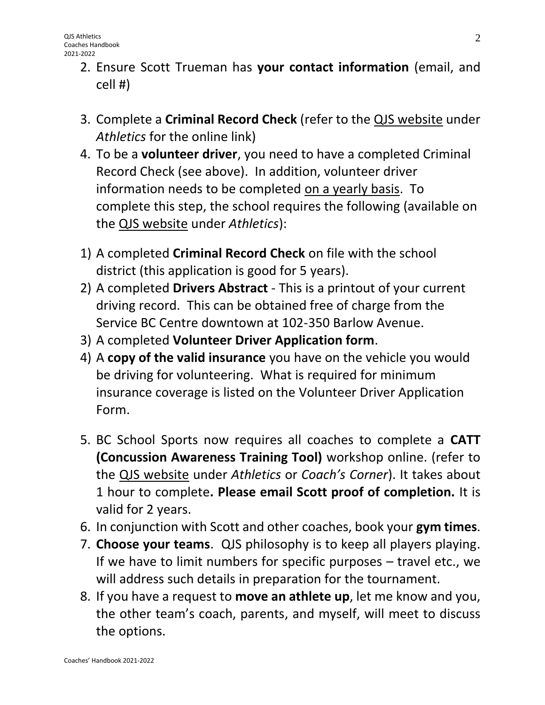- 2. Ensure Scott Trueman has **your contact information** (email, and cell #)
- 3. Complete a **Criminal Record Check** (refer to the QJS website under *Athletics* for the online link)
- 4. To be a **volunteer driver**, you need to have a completed Criminal Record Check (see above). In addition, volunteer driver information needs to be completed on a yearly basis. To complete this step, the school requires the following (available on the QJS website under *Athletics*):
- 1) A completed **Criminal Record Check** on file with the school district (this application is good for 5 years).
- 2) A completed **Drivers Abstract** This is a printout of your current driving record. This can be obtained free of charge from the Service BC Centre downtown at 102-350 Barlow Avenue.
- 3) A completed **Volunteer Driver Application form**.
- 4) A **copy of the valid insurance** you have on the vehicle you would be driving for volunteering. What is required for minimum insurance coverage is listed on the Volunteer Driver Application Form.
- 5. BC School Sports now requires all coaches to complete a **CATT (Concussion Awareness Training Tool)** workshop online. (refer to the QJS website under *Athletics* or *Coach's Corner*). It takes about 1 hour to complete**. Please email Scott proof of completion.** It is valid for 2 years.
- 6. In conjunction with Scott and other coaches, book your **gym times**.
- 7. **Choose your teams**. QJS philosophy is to keep all players playing. If we have to limit numbers for specific purposes – travel etc., we will address such details in preparation for the tournament.
- 8. If you have a request to **move an athlete up**, let me know and you, the other team's coach, parents, and myself, will meet to discuss the options.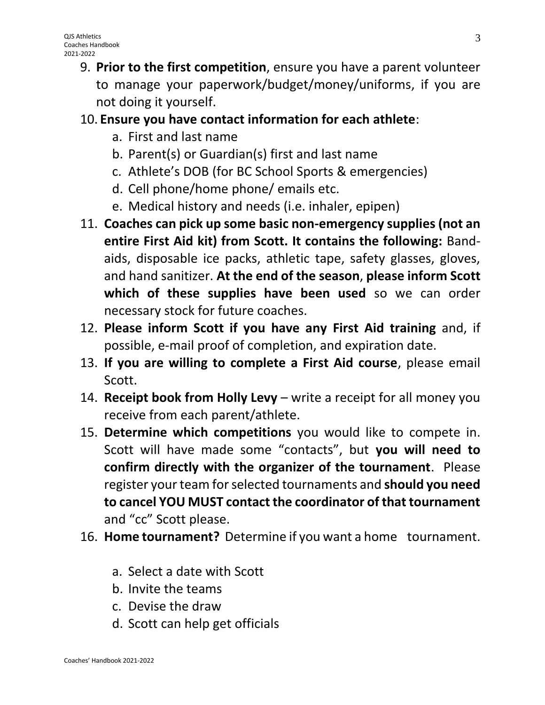9. **Prior to the first competition**, ensure you have a parent volunteer to manage your paperwork/budget/money/uniforms, if you are not doing it yourself.

## 10. **Ensure you have contact information for each athlete**:

- a. First and last name
- b. Parent(s) or Guardian(s) first and last name
- c. Athlete's DOB (for BC School Sports & emergencies)
- d. Cell phone/home phone/ emails etc.
- e. Medical history and needs (i.e. inhaler, epipen)
- 11. **Coaches can pick up some basic non-emergency supplies (not an entire First Aid kit) from Scott. It contains the following:** Bandaids, disposable ice packs, athletic tape, safety glasses, gloves, and hand sanitizer. **At the end of the season**, **please inform Scott which of these supplies have been used** so we can order necessary stock for future coaches.
- 12. **Please inform Scott if you have any First Aid training** and, if possible, e-mail proof of completion, and expiration date.
- 13. **If you are willing to complete a First Aid course**, please email Scott.
- 14. **Receipt book from Holly Levy** write a receipt for all money you receive from each parent/athlete.
- 15. **Determine which competitions** you would like to compete in. Scott will have made some "contacts", but **you will need to confirm directly with the organizer of the tournament**. Please register your team for selected tournaments and **should you need to cancel YOU MUST contact the coordinator of that tournament** and "cc" Scott please.
- 16. **Home tournament?** Determine if you want a home tournament.
	- a. Select a date with Scott
	- b. Invite the teams
	- c. Devise the draw
	- d. Scott can help get officials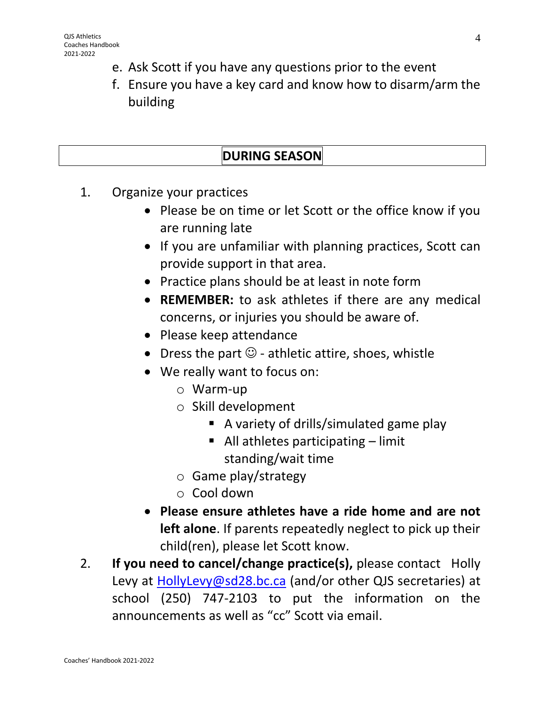- e. Ask Scott if you have any questions prior to the event
- f. Ensure you have a key card and know how to disarm/arm the building

# **DURING SEASON**

- 1. Organize your practices
	- Please be on time or let Scott or the office know if you are running late
	- If you are unfamiliar with planning practices, Scott can provide support in that area.
	- Practice plans should be at least in note form
	- **REMEMBER:** to ask athletes if there are any medical concerns, or injuries you should be aware of.
	- Please keep attendance
	- Dress the part  $\mathbb{O}$  athletic attire, shoes, whistle
	- We really want to focus on:
		- o Warm-up
		- o Skill development
			- A variety of drills/simulated game play
			- $\blacksquare$  All athletes participating limit standing/wait time
		- o Game play/strategy
		- o Cool down
	- **Please ensure athletes have a ride home and are not left alone**. If parents repeatedly neglect to pick up their child(ren), please let Scott know.
- 2. **If you need to cancel/change practice(s),** please contact Holly Levy at [HollyLevy@sd28.bc.ca](mailto:HollyLevy@sd28.bc.ca) (and/or other QJS secretaries) at school (250) 747-2103 to put the information on the announcements as well as "cc" Scott via email.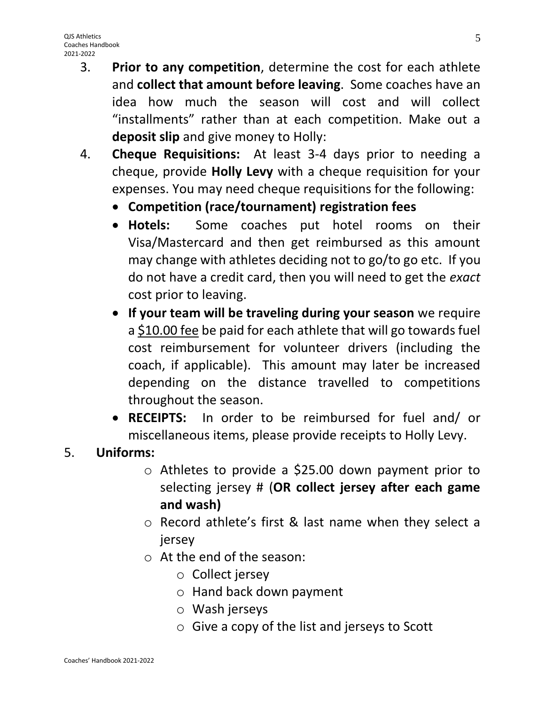- 3. **Prior to any competition**, determine the cost for each athlete and **collect that amount before leaving**. Some coaches have an idea how much the season will cost and will collect "installments" rather than at each competition. Make out a **deposit slip** and give money to Holly:
- 4. **Cheque Requisitions:** At least 3-4 days prior to needing a cheque, provide **Holly Levy** with a cheque requisition for your expenses. You may need cheque requisitions for the following:
	- **Competition (race/tournament) registration fees**
	- **Hotels:** Some coaches put hotel rooms on their Visa/Mastercard and then get reimbursed as this amount may change with athletes deciding not to go/to go etc. If you do not have a credit card, then you will need to get the *exact* cost prior to leaving.
	- **If your team will be traveling during your season** we require a \$10.00 fee be paid for each athlete that will go towards fuel cost reimbursement for volunteer drivers (including the coach, if applicable). This amount may later be increased depending on the distance travelled to competitions throughout the season.
	- **RECEIPTS:** In order to be reimbursed for fuel and/ or miscellaneous items, please provide receipts to Holly Levy.

### 5. **Uniforms:**

- o Athletes to provide a \$25.00 down payment prior to selecting jersey # (**OR collect jersey after each game and wash)**
- o Record athlete's first & last name when they select a jersey
- o At the end of the season:
	- o Collect jersey
	- o Hand back down payment
	- o Wash jerseys
	- o Give a copy of the list and jerseys to Scott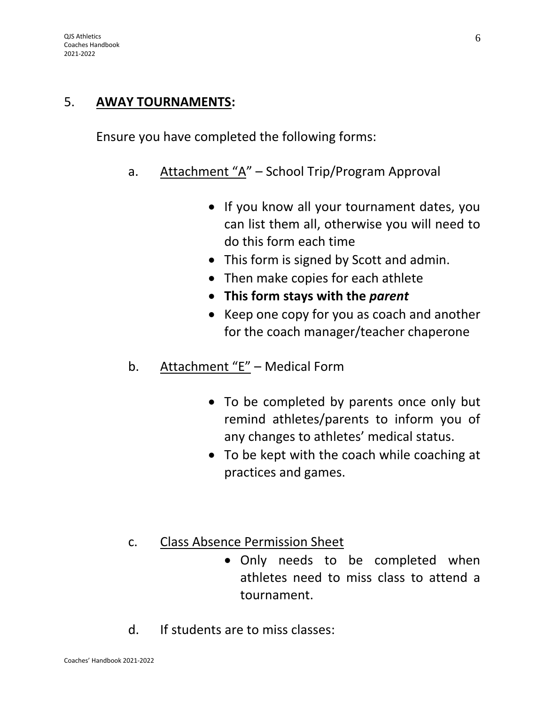#### 5. **AWAY TOURNAMENTS:**

Ensure you have completed the following forms:

- a. Attachment "A" School Trip/Program Approval
	- If you know all your tournament dates, you can list them all, otherwise you will need to do this form each time
	- This form is signed by Scott and admin.
	- Then make copies for each athlete
	- **This form stays with the** *parent*
	- Keep one copy for you as coach and another for the coach manager/teacher chaperone
- b. Attachment "E" Medical Form
	- To be completed by parents once only but remind athletes/parents to inform you of any changes to athletes' medical status.
	- To be kept with the coach while coaching at practices and games.
- c. Class Absence Permission Sheet
	- Only needs to be completed when athletes need to miss class to attend a tournament.
- d. If students are to miss classes: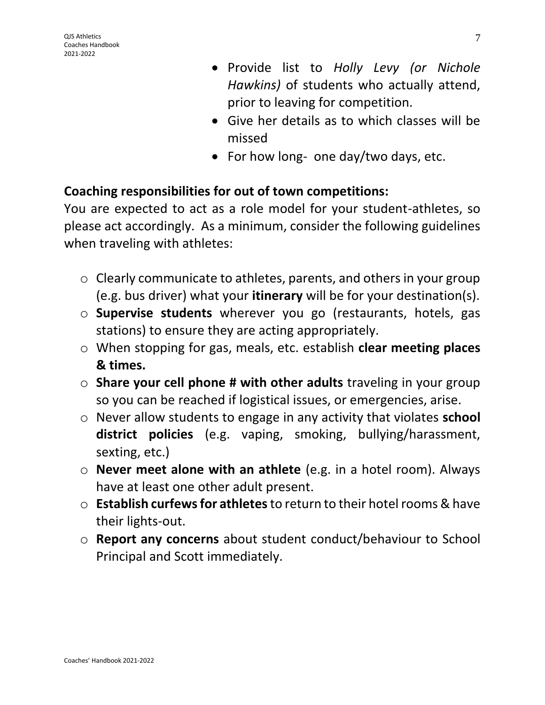- Provide list to *Holly Levy (or Nichole Hawkins)* of students who actually attend, prior to leaving for competition.
- Give her details as to which classes will be missed
- For how long- one day/two days, etc.

### **Coaching responsibilities for out of town competitions:**

You are expected to act as a role model for your student-athletes, so please act accordingly. As a minimum, consider the following guidelines when traveling with athletes:

- o Clearly communicate to athletes, parents, and others in your group (e.g. bus driver) what your **itinerary** will be for your destination(s).
- o **Supervise students** wherever you go (restaurants, hotels, gas stations) to ensure they are acting appropriately.
- o When stopping for gas, meals, etc. establish **clear meeting places & times.**
- o **Share your cell phone # with other adults** traveling in your group so you can be reached if logistical issues, or emergencies, arise.
- o Never allow students to engage in any activity that violates **school district policies** (e.g. vaping, smoking, bullying/harassment, sexting, etc.)
- o **Never meet alone with an athlete** (e.g. in a hotel room). Always have at least one other adult present.
- o **Establish curfews for athletes**to return to their hotel rooms & have their lights-out.
- o **Report any concerns** about student conduct/behaviour to School Principal and Scott immediately.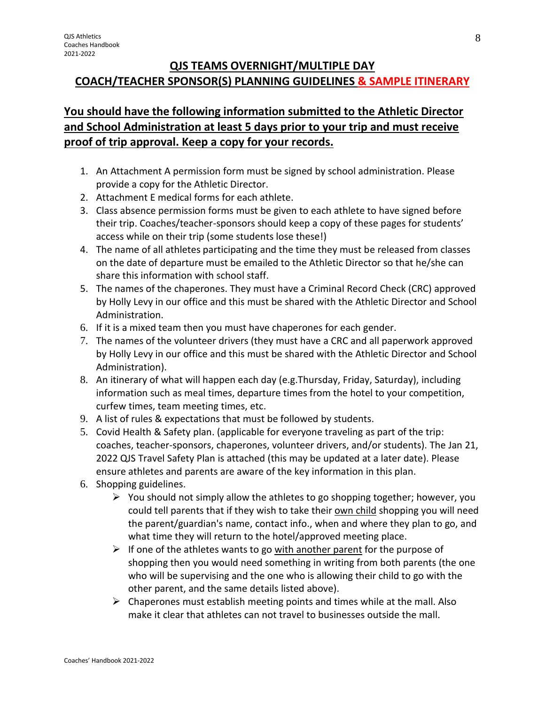#### **QJS TEAMS OVERNIGHT/MULTIPLE DAY COACH/TEACHER SPONSOR(S) PLANNING GUIDELINES & SAMPLE ITINERARY**

#### **You should have the following information submitted to the Athletic Director and School Administration at least 5 days prior to your trip and must receive proof of trip approval. Keep a copy for your records.**

- 1. An Attachment A permission form must be signed by school administration. Please provide a copy for the Athletic Director.
- 2. Attachment E medical forms for each athlete.
- 3. Class absence permission forms must be given to each athlete to have signed before their trip. Coaches/teacher-sponsors should keep a copy of these pages for students' access while on their trip (some students lose these!)
- 4. The name of all athletes participating and the time they must be released from classes on the date of departure must be emailed to the Athletic Director so that he/she can share this information with school staff.
- 5. The names of the chaperones. They must have a Criminal Record Check (CRC) approved by Holly Levy in our office and this must be shared with the Athletic Director and School Administration.
- 6. If it is a mixed team then you must have chaperones for each gender.
- 7. The names of the volunteer drivers (they must have a CRC and all paperwork approved by Holly Levy in our office and this must be shared with the Athletic Director and School Administration).
- 8. An itinerary of what will happen each day (e.g.Thursday, Friday, Saturday), including information such as meal times, departure times from the hotel to your competition, curfew times, team meeting times, etc.
- 9. A list of rules & expectations that must be followed by students.
- 5. Covid Health & Safety plan. (applicable for everyone traveling as part of the trip: coaches, teacher-sponsors, chaperones, volunteer drivers, and/or students). The Jan 21, 2022 QJS Travel Safety Plan is attached (this may be updated at a later date). Please ensure athletes and parents are aware of the key information in this plan.
- 6. Shopping guidelines.
	- $\triangleright$  You should not simply allow the athletes to go shopping together; however, you could tell parents that if they wish to take their own child shopping you will need the parent/guardian's name, contact info., when and where they plan to go, and what time they will return to the hotel/approved meeting place.
	- $\triangleright$  If one of the athletes wants to go with another parent for the purpose of shopping then you would need something in writing from both parents (the one who will be supervising and the one who is allowing their child to go with the other parent, and the same details listed above).
	- $\triangleright$  Chaperones must establish meeting points and times while at the mall. Also make it clear that athletes can not travel to businesses outside the mall.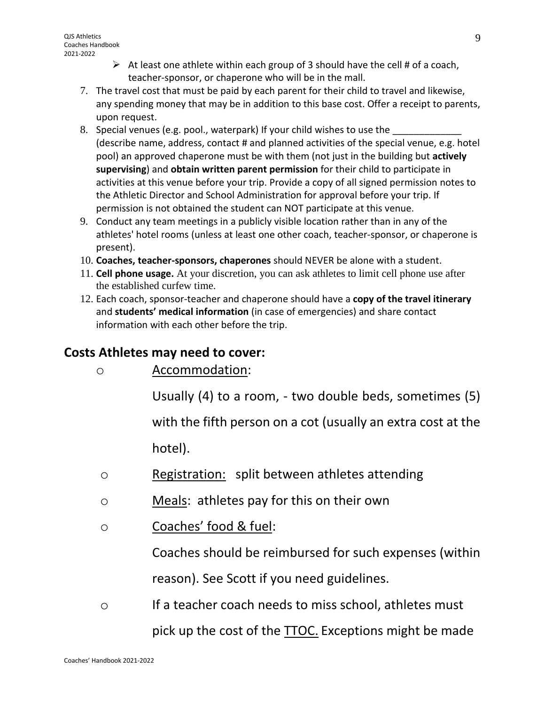- $\triangleright$  At least one athlete within each group of 3 should have the cell # of a coach, teacher-sponsor, or chaperone who will be in the mall.
- 7. The travel cost that must be paid by each parent for their child to travel and likewise, any spending money that may be in addition to this base cost. Offer a receipt to parents, upon request.
- 8. Special venues (e.g. pool., waterpark) If your child wishes to use the (describe name, address, contact # and planned activities of the special venue, e.g. hotel pool) an approved chaperone must be with them (not just in the building but **actively supervising**) and **obtain written parent permission** for their child to participate in activities at this venue before your trip. Provide a copy of all signed permission notes to the Athletic Director and School Administration for approval before your trip. If permission is not obtained the student can NOT participate at this venue.
- 9. Conduct any team meetings in a publicly visible location rather than in any of the athletes' hotel rooms (unless at least one other coach, teacher-sponsor, or chaperone is present).
- 10. **Coaches, teacher-sponsors, chaperones** should NEVER be alone with a student.
- 11. **Cell phone usage.** At your discretion, you can ask athletes to limit cell phone use after the established curfew time.
- 12. Each coach, sponsor-teacher and chaperone should have a **copy of the travel itinerary** and **students' medical information** (in case of emergencies) and share contact information with each other before the trip.

## **Costs Athletes may need to cover:**

o Accommodation:

Usually (4) to a room, - two double beds, sometimes (5)

with the fifth person on a cot (usually an extra cost at the hotel).

- o Registration: split between athletes attending
- o Meals: athletes pay for this on their own
- o Coaches' food & fuel:

Coaches should be reimbursed for such expenses (within reason). See Scott if you need guidelines.

o If a teacher coach needs to miss school, athletes must pick up the cost of the TTOC. Exceptions might be made